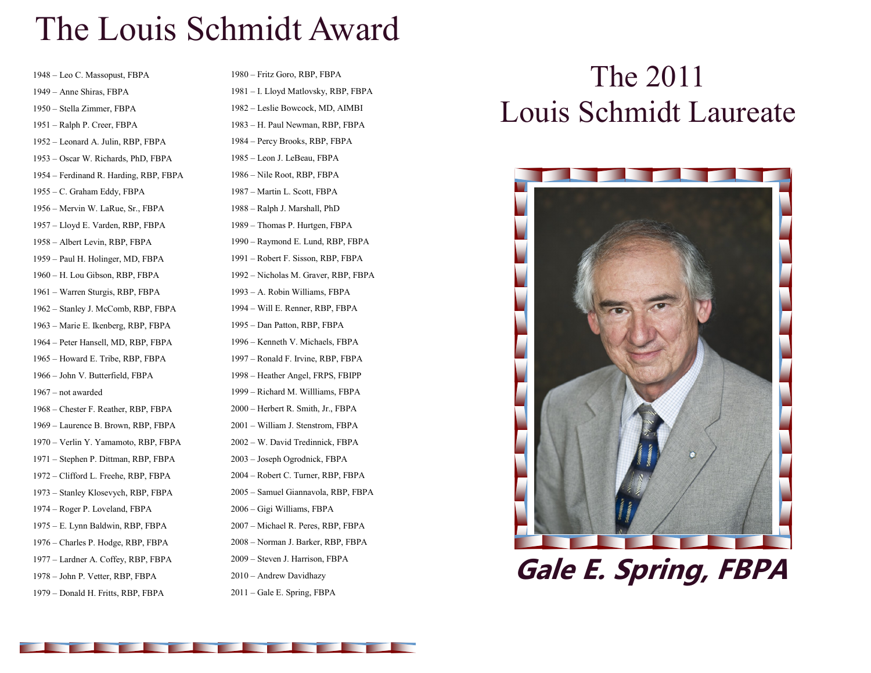## The Louis Schmidt Award

– Leo C. Massopust, FBPA – Anne Shiras, FBPA – Stella Zimmer, FBPA – Ralph P. Creer, FBPA – Leonard A. Julin, RBP, FBPA – Oscar W. Richards, PhD, FBPA – Ferdinand R. Harding, RBP, FBPA – C. Graham Eddy, FBPA – Mervin W. LaRue, Sr., FBPA – Lloyd E. Varden, RBP, FBPA – Albert Levin, RBP, FBPA – Paul H. Holinger, MD, FBPA – H. Lou Gibson, RBP, FBPA – Warren Sturgis, RBP, FBPA – Stanley J. McComb, RBP, FBPA – Marie E. Ikenberg, RBP, FBPA – Peter Hansell, MD, RBP, FBPA – Howard E. Tribe, RBP, FBPA – John V. Butterfield, FBPA – not awarded – Chester F. Reather, RBP, FBPA – Laurence B. Brown, RBP, FBPA – Verlin Y. Yamamoto, RBP, FBPA – Stephen P. Dittman, RBP, FBPA – Clifford L. Freehe, RBP, FBPA – Stanley Klosevych, RBP, FBPA – Roger P. Loveland, FBPA – E. Lynn Baldwin, RBP, FBPA – Charles P. Hodge, RBP, FBPA – Lardner A. Coffey, RBP, FBPA – John P. Vetter, RBP, FBPA – Donald H. Fritts, RBP, FBPA

– Fritz Goro, RBP, FBPA – I. Lloyd Matlovsky, RBP, FBPA – Leslie Bowcock, MD, AIMBI – H. Paul Newman, RBP, FBPA – Percy Brooks, RBP, FBPA – Leon J. LeBeau, FBPA – Nile Root, RBP, FBPA – Martin L. Scott, FBPA – Ralph J. Marshall, PhD – Thomas P. Hurtgen, FBPA – Raymond E. Lund, RBP, FBPA – Robert F. Sisson, RBP, FBPA – Nicholas M. Graver, RBP, FBPA – A. Robin Williams, FBPA – Will E. Renner, RBP, FBPA – Dan Patton, RBP, FBPA – Kenneth V. Michaels, FBPA – Ronald F. Irvine, RBP, FBPA – Heather Angel, FRPS, FBIPP – Richard M. Willliams, FBPA – Herbert R. Smith, Jr., FBPA – William J. Stenstrom, FBPA – W. David Tredinnick, FBPA – Joseph Ogrodnick, FBPA – Robert C. Turner, RBP, FBPA – Samuel Giannavola, RBP, FBPA – Gigi Williams, FBPA – Michael R. Peres, RBP, FBPA – Norman J. Barker, RBP, FBPA – Steven J. Harrison, FBPA – Andrew Davidhazy

– Gale E. Spring, FBPA

## The 2011 Louis Schmidt Laureate



**Gale E. Spring, FBPA**